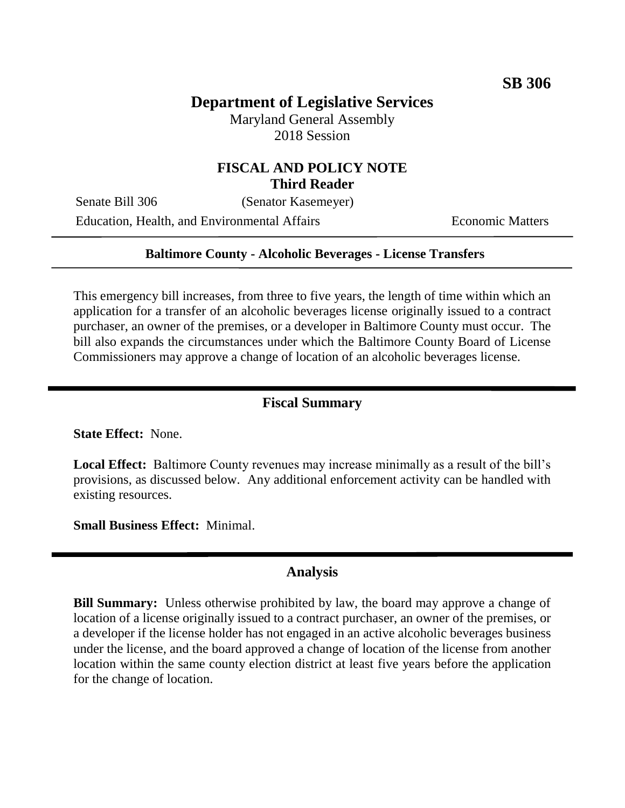# **Department of Legislative Services**

Maryland General Assembly 2018 Session

### **FISCAL AND POLICY NOTE Third Reader**

Senate Bill 306 (Senator Kasemeyer)

Education, Health, and Environmental Affairs Economic Matters

#### **Baltimore County - Alcoholic Beverages - License Transfers**

This emergency bill increases, from three to five years, the length of time within which an application for a transfer of an alcoholic beverages license originally issued to a contract purchaser, an owner of the premises, or a developer in Baltimore County must occur. The bill also expands the circumstances under which the Baltimore County Board of License Commissioners may approve a change of location of an alcoholic beverages license.

#### **Fiscal Summary**

**State Effect:** None.

**Local Effect:** Baltimore County revenues may increase minimally as a result of the bill's provisions, as discussed below. Any additional enforcement activity can be handled with existing resources.

**Small Business Effect:** Minimal.

#### **Analysis**

**Bill Summary:** Unless otherwise prohibited by law, the board may approve a change of location of a license originally issued to a contract purchaser, an owner of the premises, or a developer if the license holder has not engaged in an active alcoholic beverages business under the license, and the board approved a change of location of the license from another location within the same county election district at least five years before the application for the change of location.